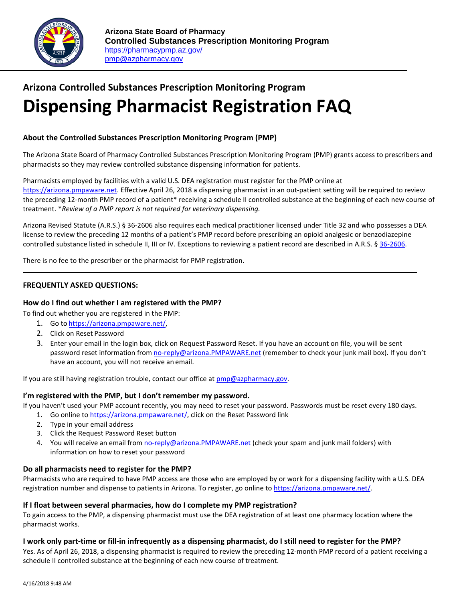

# **Arizona Controlled Substances Prescription Monitoring Program Dispensing Pharmacist Registration FAQ**

## **About the Controlled Substances Prescription Monitoring Program (PMP)**

The Arizona State Board of Pharmacy Controlled Substances Prescription Monitoring Program (PMP) grants access to prescribers and pharmacists so they may review controlled substance dispensing information for patients.

Pharmacists employed by facilities with a valid U.S. DEA registration must register for the PMP online at [https://arizona.pmpaware.net.](https://arizona.pmpaware.net/) Effective April 26, 2018 a dispensing pharmacist in an out-patient setting will be required to review the preceding 12-month PMP record of a patient\* receiving a schedule II controlled substance at the beginning of each new course of treatment. \**Review of a PMP report is not required for veterinary dispensing.*

Arizona Revised Statute (A.R.S.) § 36-2606 also requires each medical practitioner licensed under Title 32 and who possesses a DEA license to review the preceding 12 months of a patient's PMP record before prescribing an opioid analgesic or benzodiazepine controlled substance listed in schedule II, III or IV. Exceptions to reviewing a patient record are described in A.R.S. § [36-2606.](https://www.azleg.gov/viewDocument/?docName=http://www.azleg.gov/ars/36/02606.htm)

There is no fee to the prescriber or the pharmacist for PMP registration.

## **FREQUENTLY ASKED QUESTIONS:**

## **How do I find out whether I am registered with the PMP?**

To find out whether you are registered in the PMP:

- 1. Go to [https://arizona.pmpaware.net/,](https://arizona.pmpaware.net/)
- 2. Click on Reset Password
- 3. Enter your email in the login box, click on Request Password Reset. If you have an account on file, you will be sent password reset information from [no-reply@arizona.PMPAWARE.net](mailto:no-reply-pmpaware@globalnotifications.com) (remember to check your junk mail box). If you don't have an account, you will not receive an email.

If you are still having registration trouble, contact our office at  $\frac{p}{p}$  post armacy.gov.

#### **I'm registered with the PMP, but I don't remember my password.**

If you haven't used your PMP account recently, you may need to reset your password. Passwords must be reset every 180 days.

- 1. Go online t[o https://arizona.pmpaware.net/,](https://arizona.pmpaware.net/) click on the Reset Password link
- 2. Type in your email address
- 3. Click the Request Password Reset button
- 4. You will receive an email from [no-reply@arizona.PMPAWARE.net](mailto:no-reply-pmpaware@globalnotifications.com) (check your spam and junk mail folders) with information on how to reset your password

## **Do all pharmacists need to register for the PMP?**

Pharmacists who are required to have PMP access are those who are employed by or work for a dispensing facility with a U.S. DEA registration number and dispense to patients in Arizona. To register, go online to https://arizona.pmpaware.net/

## **If I float between several pharmacies, how do I complete my PMP registration?**

To gain access to the PMP, a dispensing pharmacist must use the DEA registration of at least one pharmacy location where the pharmacist works.

#### **I work only part-time or fill-in infrequently as a dispensing pharmacist, do I still need to register for the PMP?**

Yes. As of April 26, 2018, a dispensing pharmacist is required to review the preceding 12-month PMP record of a patient receiving a schedule II controlled substance at the beginning of each new course of treatment.